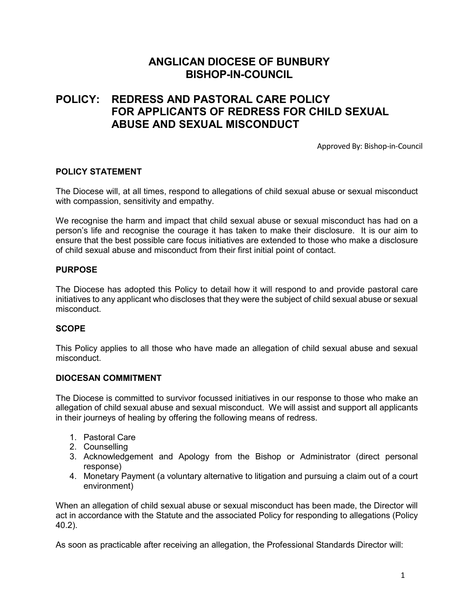# **ANGLICAN DIOCESE OF BUNBURY BISHOP-IN-COUNCIL**

# **POLICY: REDRESS AND PASTORAL CARE POLICY FOR APPLICANTS OF REDRESS FOR CHILD SEXUAL ABUSE AND SEXUAL MISCONDUCT**

Approved By: Bishop-in-Council

#### **POLICY STATEMENT**

The Diocese will, at all times, respond to allegations of child sexual abuse or sexual misconduct with compassion, sensitivity and empathy.

We recognise the harm and impact that child sexual abuse or sexual misconduct has had on a person's life and recognise the courage it has taken to make their disclosure. It is our aim to ensure that the best possible care focus initiatives are extended to those who make a disclosure of child sexual abuse and misconduct from their first initial point of contact.

### **PURPOSE**

The Diocese has adopted this Policy to detail how it will respond to and provide pastoral care initiatives to any applicant who discloses that they were the subject of child sexual abuse or sexual misconduct.

### **SCOPE**

This Policy applies to all those who have made an allegation of child sexual abuse and sexual misconduct.

#### **DIOCESAN COMMITMENT**

The Diocese is committed to survivor focussed initiatives in our response to those who make an allegation of child sexual abuse and sexual misconduct. We will assist and support all applicants in their journeys of healing by offering the following means of redress.

- 1. Pastoral Care
- 2. Counselling
- 3. Acknowledgement and Apology from the Bishop or Administrator (direct personal response)
- 4. Monetary Payment (a voluntary alternative to litigation and pursuing a claim out of a court environment)

When an allegation of child sexual abuse or sexual misconduct has been made, the Director will act in accordance with the Statute and the associated Policy for responding to allegations (Policy 40.2).

As soon as practicable after receiving an allegation, the Professional Standards Director will: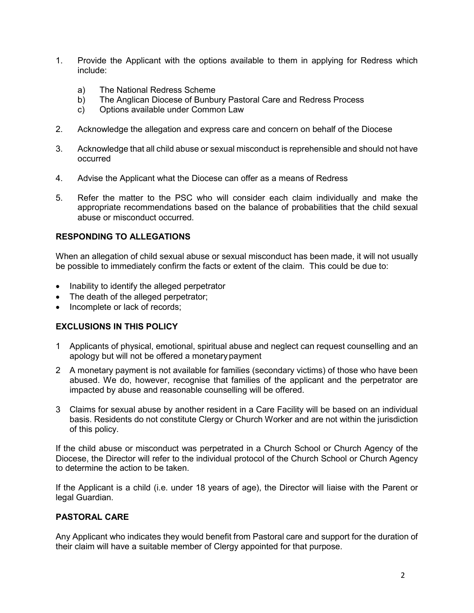- 1. Provide the Applicant with the options available to them in applying for Redress which include:
	- a) The National Redress Scheme
	- b) The Anglican Diocese of Bunbury Pastoral Care and Redress Process
	- c) Options available under Common Law
- 2. Acknowledge the allegation and express care and concern on behalf of the Diocese
- 3. Acknowledge that all child abuse or sexual misconduct is reprehensible and should not have occurred
- 4. Advise the Applicant what the Diocese can offer as a means of Redress
- 5. Refer the matter to the PSC who will consider each claim individually and make the appropriate recommendations based on the balance of probabilities that the child sexual abuse or misconduct occurred.

### **RESPONDING TO ALLEGATIONS**

When an allegation of child sexual abuse or sexual misconduct has been made, it will not usually be possible to immediately confirm the facts or extent of the claim. This could be due to:

- Inability to identify the alleged perpetrator
- The death of the alleged perpetrator;
- Incomplete or lack of records;

### **EXCLUSIONS IN THIS POLICY**

- 1 Applicants of physical, emotional, spiritual abuse and neglect can request counselling and an apology but will not be offered a monetarypayment
- 2 A monetary payment is not available for families (secondary victims) of those who have been abused. We do, however, recognise that families of the applicant and the perpetrator are impacted by abuse and reasonable counselling will be offered.
- 3 Claims for sexual abuse by another resident in a Care Facility will be based on an individual basis. Residents do not constitute Clergy or Church Worker and are not within the jurisdiction of this policy.

If the child abuse or misconduct was perpetrated in a Church School or Church Agency of the Diocese, the Director will refer to the individual protocol of the Church School or Church Agency to determine the action to be taken.

If the Applicant is a child (i.e. under 18 years of age), the Director will liaise with the Parent or legal Guardian.

### **PASTORAL CARE**

Any Applicant who indicates they would benefit from Pastoral care and support for the duration of their claim will have a suitable member of Clergy appointed for that purpose.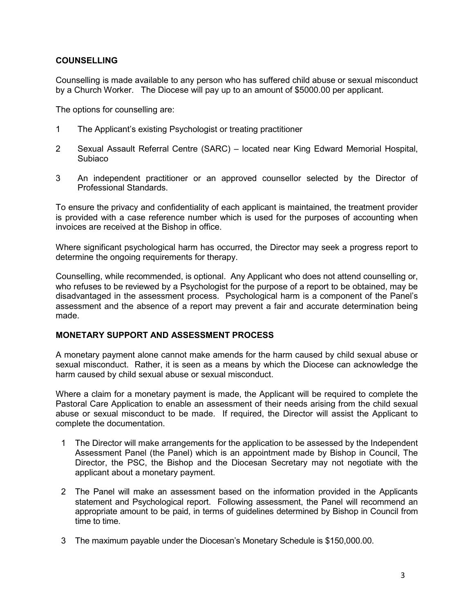### **COUNSELLING**

Counselling is made available to any person who has suffered child abuse or sexual misconduct by a Church Worker. The Diocese will pay up to an amount of \$5000.00 per applicant.

The options for counselling are:

- 1 The Applicant's existing Psychologist or treating practitioner
- 2 Sexual Assault Referral Centre (SARC) located near King Edward Memorial Hospital, Subiaco
- 3 An independent practitioner or an approved counsellor selected by the Director of Professional Standards.

To ensure the privacy and confidentiality of each applicant is maintained, the treatment provider is provided with a case reference number which is used for the purposes of accounting when invoices are received at the Bishop in office.

Where significant psychological harm has occurred, the Director may seek a progress report to determine the ongoing requirements for therapy.

Counselling, while recommended, is optional. Any Applicant who does not attend counselling or, who refuses to be reviewed by a Psychologist for the purpose of a report to be obtained, may be disadvantaged in the assessment process. Psychological harm is a component of the Panel's assessment and the absence of a report may prevent a fair and accurate determination being made.

### **MONETARY SUPPORT AND ASSESSMENT PROCESS**

A monetary payment alone cannot make amends for the harm caused by child sexual abuse or sexual misconduct. Rather, it is seen as a means by which the Diocese can acknowledge the harm caused by child sexual abuse or sexual misconduct.

Where a claim for a monetary payment is made, the Applicant will be required to complete the Pastoral Care Application to enable an assessment of their needs arising from the child sexual abuse or sexual misconduct to be made. If required, the Director will assist the Applicant to complete the documentation.

- 1 The Director will make arrangements for the application to be assessed by the Independent Assessment Panel (the Panel) which is an appointment made by Bishop in Council, The Director, the PSC, the Bishop and the Diocesan Secretary may not negotiate with the applicant about a monetary payment.
- 2 The Panel will make an assessment based on the information provided in the Applicants statement and Psychological report. Following assessment, the Panel will recommend an appropriate amount to be paid, in terms of guidelines determined by Bishop in Council from time to time.
- 3 The maximum payable under the Diocesan's Monetary Schedule is \$150,000.00.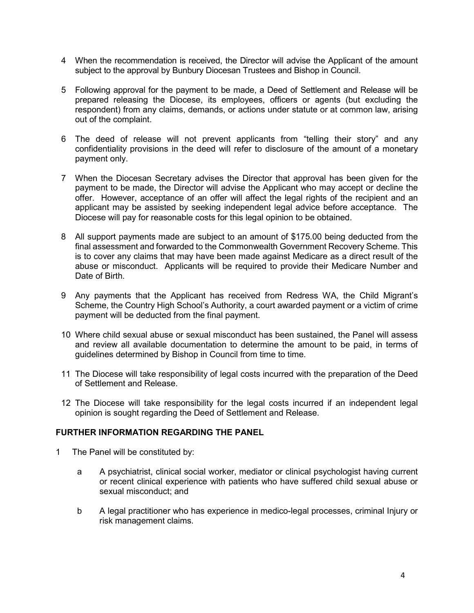- 4 When the recommendation is received, the Director will advise the Applicant of the amount subject to the approval by Bunbury Diocesan Trustees and Bishop in Council.
- 5 Following approval for the payment to be made, a Deed of Settlement and Release will be prepared releasing the Diocese, its employees, officers or agents (but excluding the respondent) from any claims, demands, or actions under statute or at common law, arising out of the complaint.
- 6 The deed of release will not prevent applicants from "telling their story" and any confidentiality provisions in the deed will refer to disclosure of the amount of a monetary payment only.
- 7 When the Diocesan Secretary advises the Director that approval has been given for the payment to be made, the Director will advise the Applicant who may accept or decline the offer. However, acceptance of an offer will affect the legal rights of the recipient and an applicant may be assisted by seeking independent legal advice before acceptance. The Diocese will pay for reasonable costs for this legal opinion to be obtained.
- 8 All support payments made are subject to an amount of \$175.00 being deducted from the final assessment and forwarded to the Commonwealth Government Recovery Scheme. This is to cover any claims that may have been made against Medicare as a direct result of the abuse or misconduct. Applicants will be required to provide their Medicare Number and Date of Birth.
- 9 Any payments that the Applicant has received from Redress WA, the Child Migrant's Scheme, the Country High School's Authority, a court awarded payment or a victim of crime payment will be deducted from the final payment.
- 10 Where child sexual abuse or sexual misconduct has been sustained, the Panel will assess and review all available documentation to determine the amount to be paid, in terms of guidelines determined by Bishop in Council from time to time.
- 11 The Diocese will take responsibility of legal costs incurred with the preparation of the Deed of Settlement and Release.
- 12 The Diocese will take responsibility for the legal costs incurred if an independent legal opinion is sought regarding the Deed of Settlement and Release.

### **FURTHER INFORMATION REGARDING THE PANEL**

- 1 The Panel will be constituted by:
	- a A psychiatrist, clinical social worker, mediator or clinical psychologist having current or recent clinical experience with patients who have suffered child sexual abuse or sexual misconduct; and
	- b A legal practitioner who has experience in medico-legal processes, criminal Injury or risk management claims.